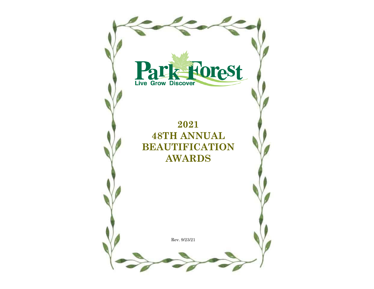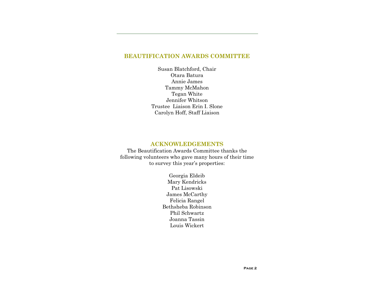# **BEAUTIFICATION AWARDS COMMITTEE**

Susan Blatchford, Chair Otara Batura Annie James Tammy McMahon Tegan White Jennifer Whitson Trustee Liaison Erin I. Slone Carolyn Hoff, Staff Liaison

### **ACKNOWLEDGEMENTS**

The Beautification Awards Committee thanks the following volunteers who gave many hours of their time to survey this year's properties:

> Georgia Eldeib Mary Kendricks Pat Lisowski James McCarthy Felicia Rangel Bethsheba Robinson Phil Schwartz Joanna Tassin Louis Wickert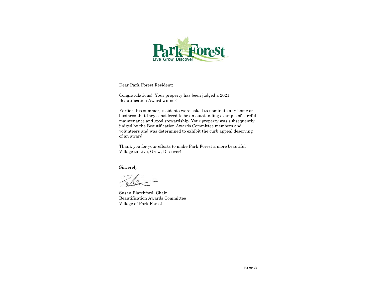

Dear Park Forest Resident:

Congratulations! Your property has been judged a 2021 Beautification Award winner!

Earlier this summer, residents were asked to nominate any home or business that they considered to be an outstanding example of careful maintenance and good stewardship. Your property was subsequently judged by the Beautification Awards Committee members and volunteers and was determined to exhibit the curb appeal deserving of an award.

Thank you for your efforts to make Park Forest a more beautiful Village to Live, Grow, Discover!

Sincerely,

Susan Blatchford, Chair Beautification Awards Committee Village of Park Forest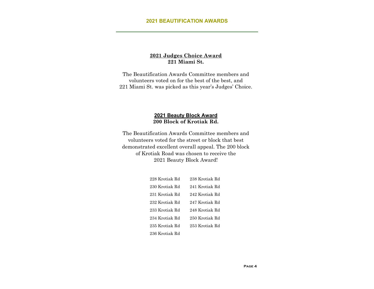## **2021 Judges Choice Award 221 Miami St.**

The Beautification Awards Committee members and volunteers voted on for the best of the best, and 221 Miami St. was picked as this year's Judges' Choice.

## **2021 Beauty Block Award 200 Block of Krotiak Rd.**

The Beautification Awards Committee members and volunteers voted for the street or block that best demonstrated excellent overall appeal. The 200 block of Krotiak Road was chosen to receive the 2021 Beauty Block Award!

| 228 Krotiak Rd | 238 Krotiak Rd |
|----------------|----------------|
| 230 Krotiak Rd | 241 Krotiak Rd |
| 231 Krotiak Rd | 242 Krotiak Rd |
| 232 Krotiak Rd | 247 Krotiak Rd |
| 233 Krotiak Rd | 248 Krotiak Rd |
| 234 Krotiak Rd | 250 Krotiak Rd |
| 235 Krotiak Rd | 253 Krotiak Rd |
| 236 Krotiak Rd |                |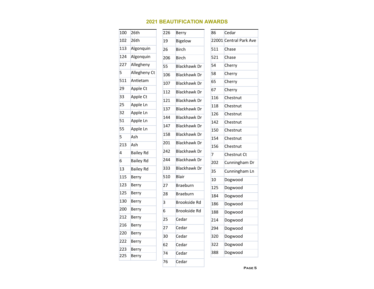| 100 | 26th             | 226 | <b>Berry</b>        | 86             | Cedar                  |
|-----|------------------|-----|---------------------|----------------|------------------------|
| 102 | 26th             | 19  | Bigelow             |                | 22001 Central Park Ave |
| 113 | Algonquin        | 26  | <b>Birch</b>        | 511            | Chase                  |
| 124 | Algonquin        | 206 | <b>Birch</b>        | 521            | Chase                  |
| 227 | Allegheny        | 55  | <b>Blackhawk Dr</b> | 54             | Cherry                 |
| 5   | Allegheny Ct     | 106 | <b>Blackhawk Dr</b> | 58             | Cherry                 |
| 511 | Antietam         | 107 | <b>Blackhawk Dr</b> | 65             | Cherry                 |
| 29  | Apple Ct         | 112 | <b>Blackhawk Dr</b> | 67             | Cherry                 |
| 33  | Apple Ct         | 121 | <b>Blackhawk Dr</b> | 116            | Chestnut               |
| 25  | Apple Ln         | 137 | <b>Blackhawk Dr</b> | 118            | Chestnut               |
| 32  | Apple Ln         | 144 | <b>Blackhawk Dr</b> | 126            | Chestnut               |
| 51  | Apple Ln         |     | <b>Blackhawk Dr</b> | 142            | Chestnut               |
| 55  | Apple Ln         | 147 |                     | 150            | Chestnut               |
| 5   | Ash              | 158 | <b>Blackhawk Dr</b> | 154            | Chestnut               |
| 213 | Ash              | 201 | <b>Blackhawk Dr</b> | 156            | Chestnut               |
| 4   | <b>Bailey Rd</b> | 242 | <b>Blackhawk Dr</b> | $\overline{7}$ | Chestnut Ct            |
| 6   | <b>Bailey Rd</b> | 244 | <b>Blackhawk Dr</b> | 202            | Cunningham Dr          |
| 13  | <b>Bailey Rd</b> | 333 | <b>Blackhawk Dr</b> | 35             | Cunningham Ln          |
| 115 | <b>Berry</b>     | 510 | Blair               | 10             | Dogwood                |
| 123 | Berry            | 27  | <b>Braeburn</b>     | 125            | Dogwood                |
| 125 | Berry            | 28  | <b>Braeburn</b>     | 184            | Dogwood                |
| 130 | <b>Berry</b>     | 3   | <b>Brookside Rd</b> | 186            | Dogwood                |
| 200 | Berry            | 6   | <b>Brookside Rd</b> | 188            | Dogwood                |
| 212 | Berry            | 25  | Cedar               | 214            | Dogwood                |
| 216 | <b>Berry</b>     | 27  | Cedar               | 294            | Dogwood                |
| 220 | <b>Berry</b>     | 30  | Cedar               | 320            | Dogwood                |
| 222 | Berry            | 62  | Cedar               | 322            | Dogwood                |
| 223 | Berry            | 74  | Cedar               | 388            | Dogwood                |
| 225 | Berry            |     |                     |                |                        |
|     |                  | 76  | Cedar               |                |                        |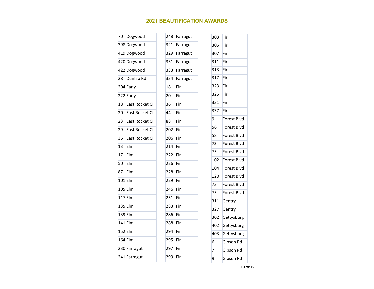| 70 | Dogwood        | 248 | Farragut |
|----|----------------|-----|----------|
|    | 398 Dogwood    | 321 | Farragut |
|    | 419 Dogwood    | 329 | Farragut |
|    | 420 Dogwood    | 331 | Farragut |
|    | 422 Dogwood    | 333 | Farragut |
|    | 28 Dunlap Rd   | 334 | Farragut |
|    | 204 Early      | 18  | Fir      |
|    | 222 Early      | 20  | Fir      |
| 18 | East Rocket Ci | 36  | Fir      |
| 20 | East Rocket Ci | 44  | Fir      |
| 23 | East Rocket Ci | 88  | Fir      |
| 29 | East Rocket Ci | 202 | Fir      |
| 36 | East Rocket Ci | 206 | Fir      |
| 13 | Elm            | 214 | Fir      |
| 17 | Elm            | 222 | Fir      |
| 50 | Elm            | 226 | Fir      |
| 87 | Elm            | 228 | Fir      |
|    | 101 Elm        | 229 | Fir      |
|    | 105 Elm        | 246 | Fir      |
|    | $117$ Elm      | 251 | Fir      |
|    | 135 Elm        | 283 | Fir      |
|    | 139 Elm        | 286 | Fir      |
|    | 141 Elm        | 288 | Fir      |
|    | 152 Elm        | 294 | Fir      |
|    | 164 Elm        | 295 | Fir      |
|    | 230 Farragut   | 297 | Fir      |
|    | 241 Farragut   | 299 | Fir      |
|    |                |     |          |

| 303 | Fir         |
|-----|-------------|
| 305 | Fir         |
| 307 | Fir         |
| 311 | Fir         |
| 313 | Fir         |
| 317 | Fir         |
| 323 | Fir         |
| 325 | Fir         |
| 331 | Fir         |
| 337 | Fir         |
| 9   | Forest Blvd |
| 56  | Forest Blvd |
| 58  | Forest Blvd |
| 73  | Forest Blvd |
| 75  | Forest Blvd |
| 102 | Forest Blvd |
| 104 | Forest Blvd |
| 120 | Forest Blvd |
| 73  | Forest Blvd |
| 75  | Forest Blvd |
| 311 | Gentry      |
| 327 | Gentry      |
| 302 | Gettysburg  |
| 402 | Gettysburg  |
| 403 | Gettysburg  |
| 6   | Gibson Rd   |
| 7   | Gibson Rd   |
| 9   | Gibson Rd   |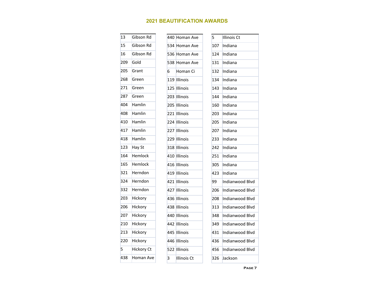| 13  | Gibson Rd         |   | 440 Homan Ave | 5   | <b>Illinois Ct</b> |
|-----|-------------------|---|---------------|-----|--------------------|
| 15  | Gibson Rd         |   | 534 Homan Ave | 107 | Indiana            |
| 16  | Gibson Rd         |   | 536 Homan Ave | 124 | Indiana            |
| 209 | Gold              |   | 538 Homan Ave | 131 | Indiana            |
| 205 | Grant             | 6 | Homan Ci      | 132 | Indiana            |
| 268 | Green             |   | 119 Illinois  | 134 | Indiana            |
| 271 | Green             |   | 125 Illinois  | 143 | Indiana            |
| 287 | Green             |   | 203 Illinois  | 144 | Indiana            |
| 404 | <b>Hamlin</b>     |   | 205 Illinois  | 160 | Indiana            |
| 408 | Hamlin            |   | 221 Illinois  | 203 | Indiana            |
| 410 | Hamlin            |   | 224 Illinois  | 205 | Indiana            |
| 417 | Hamlin            |   | 227 Illinois  | 207 | Indiana            |
| 418 | Hamlin            |   | 229 Illinois  | 233 | Indiana            |
| 123 | Hay St            |   | 318 Illinois  | 242 | Indiana            |
| 164 | <b>Hemlock</b>    |   | 410 Illinois  | 251 | Indiana            |
| 165 | <b>Hemlock</b>    |   | 416 Illinois  | 305 | Indiana            |
| 321 | Herndon           |   | 419 Illinois  | 423 | Indiana            |
| 324 | Herndon           |   | 421 Illinois  | 99  | Indianwood Blvd    |
| 332 | Herndon           |   | 427 Illinois  | 206 | Indianwood Blvd    |
| 203 | Hickory           |   | 436 Illinois  | 208 | Indianwood Blvd    |
| 206 | Hickory           |   | 438 Illinois  | 313 | Indianwood Blvd    |
| 207 | Hickory           |   | 440 Illinois  | 348 | Indianwood Blvd    |
| 210 | Hickory           |   | 442 Illinois  | 349 | Indianwood Blvd    |
| 213 | Hickory           |   | 445 Illinois  | 431 | Indianwood Blvd    |
| 220 | Hickory           |   | 446 Illinois  | 436 | Indianwood Blvd    |
| 5   | <b>Hickory Ct</b> |   | 522 Illinois  | 456 | Indianwood Blvd    |
| 438 | Homan Ave         | 3 | Illinois Ct   | 326 | Jackson            |

**Page 7**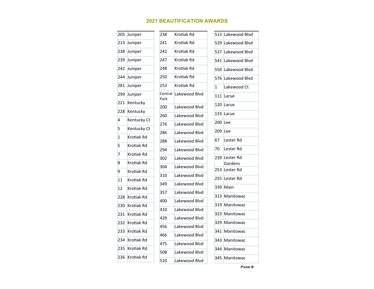|                | 205 Juniper | 238         | Krotiak Rd    |    | 513 Lakewood Blvd |
|----------------|-------------|-------------|---------------|----|-------------------|
|                | 213 Juniper | 241         | Krotiak Rd    |    | 529 Lakewood Blvd |
|                | 238 Juniper | 242         | Krotiak Rd    |    | 537 Lakewood Blvd |
|                | 239 Juniper | 247         | Krotiak Rd    |    | 541 Lakewood Blvd |
|                | 242 Juniper | 248         | Krotiak Rd    |    | 550 Lakewood Blvd |
|                | 244 Juniper | 250         | Krotiak Rd    |    | 576 Lakewood Blvd |
|                | 281 Juniper | 253         | Krotiak Rd    | 1  | Lakewood Ct       |
| 299            | Juniper     | Central     | Lakewood Blvd |    | 111 Larue         |
| 221            | Kentucky    | Park<br>200 | Lakewood Blvd |    | 120 Larue         |
| 228            | Kentucky    | 260         | Lakewood Blvd |    | 133 Larue         |
| 4              | Kentucky Ct | 276         | Lakewood Blvd |    | 200 Lee           |
| 5              | Kentucky Ct | 286         | Lakewood Blvd |    | 209 Lee           |
| $\mathbf{1}$   | Krotiak Rd  | 288         | Lakewood Blvd | 67 | Lester Rd         |
| 5              | Krotiak Rd  | 294         | Lakewood Blvd | 70 | Lester Rd         |
| $\overline{7}$ | Krotiak Rd  | 302         | Lakewood Blvd |    | 239 Lester Rd     |
| 8              | Krotiak Rd  | 304         | Lakewood Blvd |    | Gardens           |
| 9              | Krotiak Rd  |             | Lakewood Blvd |    | 253 Lester Rd     |
| 11             | Krotiak Rd  | 310         | Lakewood Blvd |    | 255 Lester Rd     |
| 12             | Krotiak Rd  | 349         | Lakewood Blvd |    | 339 Main          |
| 228            | Krotiak Rd  | 357         | Lakewood Blvd |    | 313 Manitowac     |
| 230            | Krotiak Rd  | 400         | Lakewood Blvd |    | 319 Manitowac     |
| 231            | Krotiak Rd  | 410         | Lakewood Blvd |    | 323 Manitowac     |
| 232            | Krotiak Rd  | 429         | Lakewood Blvd |    | 329 Manitowac     |
| 233            | Krotiak Rd  | 456         |               |    | 341 Manitowac     |
| 234            | Krotiak Rd  | 466         | Lakewood Blvd |    | 343 Manitowac     |
| 235            | Krotiak Rd  | 475         | Lakewood Blvd |    | 344 Manitowac     |
| 236            | Krotiak Rd  | 508         | Lakewood Blvd |    | 345 Manitowac     |
|                |             | 510         | Lakewood Blvd |    |                   |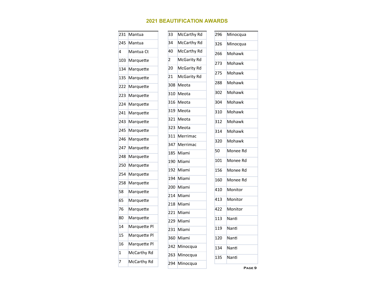| 231 | Mantua       | 33  | McCarthy Rd        | 296 | Minocqua |
|-----|--------------|-----|--------------------|-----|----------|
| 245 | Mantua       | 34  | McCarthy Rd        | 326 | Minocqua |
| 4   | Mantua Ct    | 40  | McCarthy Rd        | 266 | Mohawk   |
| 103 | Marquette    | 2   | <b>McGarity Rd</b> | 273 | Mohawk   |
| 134 | Marquette    | 20  | <b>McGarity Rd</b> | 275 | Mohawk   |
| 135 | Marquette    | 21  | <b>McGarity Rd</b> |     |          |
| 222 | Marquette    | 308 | Meota              | 288 | Mohawk   |
| 223 | Marquette    | 310 | Meota              | 302 | Mohawk   |
| 224 | Marquette    | 316 | Meota              | 304 | Mohawk   |
| 241 | Marquette    | 319 | Meota              | 310 | Mohawk   |
| 243 | Marquette    | 321 | Meota              | 312 | Mohawk   |
| 245 | Marquette    | 323 | Meota              | 314 | Mohawk   |
| 246 | Marquette    | 311 | Merrimac           |     |          |
| 247 | Marquette    | 347 | Merrimac           | 320 | Mohawk   |
| 248 | Marquette    | 185 | Miami              | 50  | Monee Rd |
| 250 | Marquette    | 190 | Miami              | 101 | Monee Rd |
| 254 | Marquette    | 192 | Miami              | 156 | Monee Rd |
| 258 | Marquette    | 194 | Miami              | 160 | Monee Rd |
|     |              | 200 | Miami              | 410 | Monitor  |
| 58  | Marquette    | 214 | Miami              | 413 | Monitor  |
| 65  | Marquette    | 218 | Miami              |     |          |
| 76  | Marquette    | 221 | Miami              | 422 | Monitor  |
| 80  | Marquette    | 229 | Miami              | 113 | Nanti    |
| 14  | Marquette Pl | 231 | Miami              | 119 | Nanti    |
| 15  | Marquette Pl | 360 | Miami              | 120 | Nanti    |
| 16  | Marquette Pl | 242 | Minocqua           | 134 | Nanti    |
| 1   | McCarthy Rd  | 263 | Minocqua           | 135 | Nanti    |
| 7   | McCarthy Rd  |     | 294 Minocqua       |     |          |
|     |              |     |                    |     |          |

**Page 9**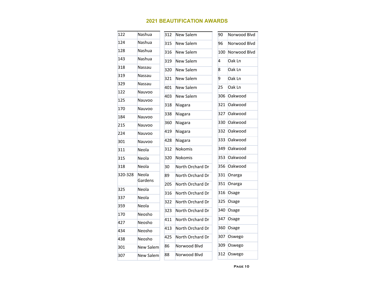| 122     | Nashua           | 312 | <b>New Salem</b> | 90  | Norwood Blvd |
|---------|------------------|-----|------------------|-----|--------------|
| 124     | Nashua           | 315 | New Salem        | 96  | Norwood Blvd |
| 128     | Nashua           | 316 | <b>New Salem</b> | 100 | Norwood Blvd |
| 143     | Nashua           | 319 | New Salem        | 4   | Oak Ln       |
| 318     | Nassau           | 320 | <b>New Salem</b> | 8   | Oak Ln       |
| 319     | Nassau           | 321 | <b>New Salem</b> | 9   | Oak Ln       |
| 329     | Nassau           | 401 | <b>New Salem</b> | 25  | Oak Ln       |
| 122     | Nauvoo           | 403 | <b>New Salem</b> | 306 | Oakwood      |
| 125     | Nauvoo           |     |                  |     |              |
| 170     | Nauvoo           | 318 | Niagara          | 321 | Oakwood      |
| 184     | Nauvoo           | 338 | Niagara          | 327 | Oakwood      |
| 215     | Nauvoo           | 360 | Niagara          | 330 | Oakwood      |
| 224     | Nauvoo           | 419 | Niagara          | 332 | Oakwood      |
| 301     | Nauvoo           | 428 | Niagara          | 333 | Oakwood      |
| 311     | Neola            | 312 | Nokomis          | 349 | Oakwood      |
| 315     | Neola            | 320 | <b>Nokomis</b>   | 353 | Oakwood      |
| 318     | Neola            | 30  | North Orchard Dr | 356 | Oakwood      |
| 320-328 | Neola            | 89  | North Orchard Dr | 331 | Onarga       |
|         | Gardens          | 205 | North Orchard Dr | 351 | Onarga       |
| 325     | Neola            | 316 | North Orchard Dr | 316 | Osage        |
| 337     | Neola            | 322 | North Orchard Dr | 325 | Osage        |
| 359     | Neola            | 323 | North Orchard Dr | 340 | Osage        |
| 170     | Neosho           |     | North Orchard Dr | 347 | Osage        |
| 427     | Neosho           | 411 |                  |     |              |
| 434     | Neosho           | 413 | North Orchard Dr | 360 | Osage        |
| 438     | Neosho           | 425 | North Orchard Dr | 307 | Oswego       |
| 301     | <b>New Salem</b> | 86  | Norwood Blvd     | 309 | Oswego       |
| 307     | <b>New Salem</b> | 88  | Norwood Blyd     | 312 | Oswego       |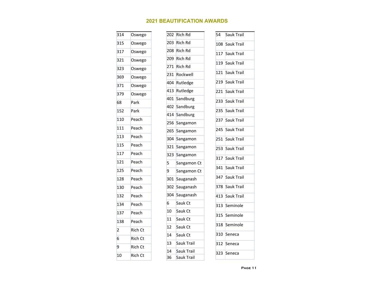| 314            | Oswego         |
|----------------|----------------|
| 315            | Oswego         |
| 317            | Oswego         |
| 321            | Oswego         |
| 323            | Oswego         |
| 369            | Oswego         |
| 371            | Oswego         |
| 379            | Oswego         |
| 68             | Park           |
| 152            | Park           |
| 110            | Peach          |
| 111            | Peach          |
| 113            | Peach          |
| 115            | Peach          |
| 117            | Peach          |
| 121            | Peach          |
| 125            | Peach          |
| 128            | Peach          |
| 130            | Peach          |
| 132            | Peach          |
| 134            | Peach          |
| 137            | Peach          |
| 138            | Peach          |
| $\overline{c}$ | Rich Ct        |
| 6              | <b>Rich Ct</b> |
| 9              | <b>Rich Ct</b> |
| 10             | <b>Rich Ct</b> |

| 202 | <b>Rich Rd</b>    | 54  | Sauk Trail     |
|-----|-------------------|-----|----------------|
| 203 | <b>Rich Rd</b>    | 108 | Sauk Trail     |
| 208 | Rich Rd           |     | 117 Sauk Trail |
| 209 | Rich Rd           | 119 | Sauk Trail     |
| 271 | <b>Rich Rd</b>    |     |                |
| 231 | Rockwell          | 121 | Sauk Trail     |
| 404 | Rutledge          | 219 | Sauk Trail     |
| 413 | Rutledge          | 221 | Sauk Trail     |
| 401 | Sandburg          | 233 | Sauk Trail     |
| 402 | Sandburg          | 235 | Sauk Trail     |
|     | 414 Sandburg      |     |                |
| 256 | Sangamon          | 237 | Sauk Trail     |
| 265 | Sangamon          | 245 | Sauk Trail     |
| 304 | Sangamon          | 251 | Sauk Trail     |
| 321 | Sangamon          | 253 | Sauk Trail     |
| 323 | Sangamon          |     | 317 Sauk Trail |
| 5   | Sangamon Ct       |     |                |
| 9   | Sangamon Ct       | 341 | Sauk Trail     |
| 301 | Sauganash         |     | 347 Sauk Trail |
| 302 | Sauganash         | 378 | Sauk Trail     |
| 304 | Sauganash         | 413 | Sauk Trail     |
| 6   | Sauk Ct           | 313 | Seminole       |
| 10  | Sauk Ct           | 315 | Seminole       |
| 11  | Sauk Ct           |     |                |
| 12  | Sauk Ct           | 318 | Seminole       |
| 14  | Sauk Ct           | 310 | Seneca         |
| 13  | <b>Sauk Trail</b> | 312 | Seneca         |
| 14  | <b>Sauk Trail</b> | 323 | Seneca         |
| 36  | Sauk Trail        |     |                |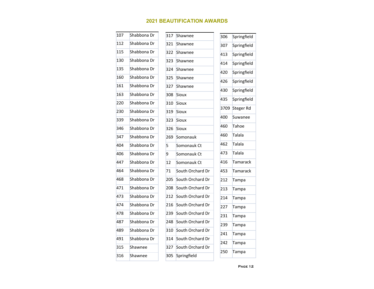| 107 | Shabbona Dr | 317 | Shawnee          | 306  | Springfield   |
|-----|-------------|-----|------------------|------|---------------|
| 112 | Shabbona Dr | 321 | Shawnee          | 307  | Springfield   |
| 115 | Shabbona Dr | 322 | Shawnee          | 413  | Springfield   |
| 130 | Shabbona Dr | 323 | Shawnee          | 414  | Springfield   |
| 135 | Shabbona Dr | 324 | Shawnee          | 420  | Springfield   |
| 160 | Shabbona Dr | 325 | Shawnee          | 426  | Springfield   |
| 161 | Shabbona Dr | 327 | Shawnee          | 430  | Springfield   |
| 163 | Shabbona Dr | 308 | Sioux            | 435  | Springfield   |
| 220 | Shabbona Dr | 310 | Sioux            |      |               |
| 230 | Shabbona Dr | 319 | <b>Sioux</b>     | 3709 | Steger Rd     |
| 339 | Shabbona Dr | 323 | <b>Sioux</b>     | 400  | Suwanee       |
| 346 | Shabbona Dr | 326 | <b>Sioux</b>     | 460  | Tahoe         |
| 347 | Shabbona Dr | 269 | Somonauk         | 460  | Talala        |
| 404 | Shabbona Dr | 5   | Somonauk Ct      | 462  | <b>Talala</b> |
| 406 | Shabbona Dr | 9   | Somonauk Ct      | 473  | <b>Talala</b> |
| 447 | Shabbona Dr | 12  | Somonauk Ct      | 416  | Tamarack      |
| 464 | Shabbona Dr | 71  | South Orchard Dr | 453  | Tamarack      |
| 468 | Shabbona Dr | 205 | South Orchard Dr | 212  | Tampa         |
| 471 | Shabbona Dr | 208 | South Orchard Dr | 213  | Tampa         |
| 473 | Shabbona Dr | 212 | South Orchard Dr | 214  | Tampa         |
| 474 | Shabbona Dr | 216 | South Orchard Dr | 227  | Tampa         |
| 478 | Shabbona Dr | 239 | South Orchard Dr | 231  | Tampa         |
| 487 | Shabbona Dr | 248 | South Orchard Dr | 239  | Tampa         |
| 489 | Shabbona Dr | 310 | South Orchard Dr | 241  | Tampa         |
| 491 | Shabbona Dr | 314 | South Orchard Dr | 242  |               |
| 315 | Shawnee     | 327 | South Orchard Dr |      | Tampa         |
| 316 | Shawnee     | 305 | Springfield      | 250  | Tampa         |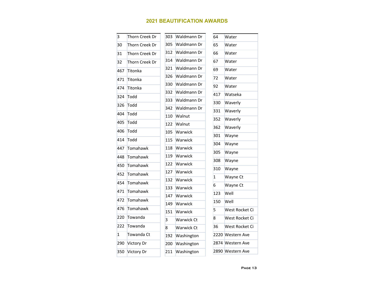| $\overline{3}$ | Thorn Creek Dr | 303 | Waldmann Dr       | 64           | Water            |
|----------------|----------------|-----|-------------------|--------------|------------------|
| 30             | Thorn Creek Dr | 305 | Waldmann Dr       | 65           | Water            |
| 31             | Thorn Creek Dr | 312 | Waldmann Dr       | 66           | Water            |
| 32             | Thorn Creek Dr | 314 | Waldmann Dr       | 67           | Water            |
| 467            | Titonka        | 321 | Waldmann Dr       | 69           | Water            |
| 471            | Titonka        | 326 | Waldmann Dr       | 72           | Water            |
| 474            | Titonka        | 330 | Waldmann Dr       | 92           | Water            |
| 324            | Todd           | 332 | Waldmann Dr       | 417          | Watseka          |
| 326            | Todd           | 333 | Waldmann Dr       | 330          | Waverly          |
| 404            | Todd           | 342 | Waldmann Dr       | 331          | Waverly          |
|                |                | 110 | Walnut            | 352          | Waverly          |
| 405            | Todd           | 122 | Walnut            | 362          | Waverly          |
| 406            | Todd           | 105 | Warwick           | 301          | Wayne            |
| 414            | Todd           | 115 | Warwick           | 304          | Wayne            |
| 447            | Tomahawk       | 118 | Warwick           | 305          | Wayne            |
| 448            | Tomahawk       | 119 | Warwick           | 308          | Wayne            |
| 450            | Tomahawk       | 122 | Warwick           | 310          | Wayne            |
| 452            | Tomahawk       | 127 | Warwick           | $\mathbf{1}$ |                  |
| 454            | Tomahawk       | 132 | Warwick           |              | Wayne Ct         |
| 471            | Tomahawk       | 133 | Warwick           | 6            | Wayne Ct         |
| 472            | Tomahawk       | 147 | Warwick           | 123          | Well             |
|                |                | 149 | Warwick           | 150          | Well             |
| 476            | Tomahawk       | 151 | Warwick           | 5            | West Rocket Ci   |
| 220            | Towanda        | 3   | <b>Warwick Ct</b> | 8            | West Rocket Ci   |
| 222            | Towanda        | 8   | Warwick Ct        | 36           | West Rocket Ci   |
| $\mathbf{1}$   | Towanda Ct     | 192 | Washington        |              | 2220 Western Ave |
| 290            | Victory Dr     | 200 | Washington        |              | 2874 Western Ave |
| 350            | Victory Dr     | 211 | Washington        |              | 2890 Western Ave |
|                |                |     |                   |              |                  |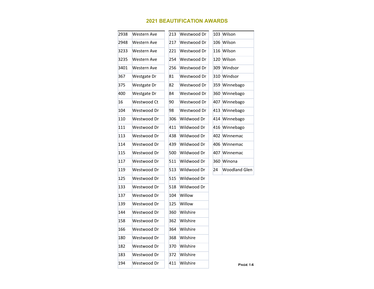| 2938 | <b>Western Ave</b> | 213 | Westwood Dr |    | 103 Wilson           |
|------|--------------------|-----|-------------|----|----------------------|
| 2948 | <b>Western Ave</b> | 217 | Westwood Dr |    | 106 Wilson           |
| 3233 | Western Ave        | 221 | Westwood Dr |    | 116 Wilson           |
| 3235 | <b>Western Ave</b> | 254 | Westwood Dr |    | 120 Wilson           |
| 3401 | Western Ave        | 256 | Westwood Dr |    | 309 Windsor          |
| 367  | Westgate Dr        | 81  | Westwood Dr |    | 310 Windsor          |
| 375  | Westgate Dr        | 82  | Westwood Dr |    | 359 Winnebago        |
| 400  | Westgate Dr        | 84  | Westwood Dr |    | 360 Winnebago        |
| 16   | Westwood Ct        | 90  | Westwood Dr |    | 407 Winnebago        |
| 104  | Westwood Dr        | 98  | Westwood Dr |    | 413 Winnebago        |
| 110  | Westwood Dr        | 306 | Wildwood Dr |    | 414 Winnebago        |
| 111  | Westwood Dr        | 411 | Wildwood Dr |    | 416 Winnebago        |
| 113  | Westwood Dr        | 438 | Wildwood Dr |    | 402 Winnemac         |
| 114  | Westwood Dr        | 439 | Wildwood Dr |    | 406 Winnemac         |
| 115  | Westwood Dr        | 500 | Wildwood Dr |    | 407 Winnemac         |
| 117  | Westwood Dr        | 511 | Wildwood Dr |    | 360 Winona           |
| 119  | Westwood Dr        | 513 | Wildwood Dr | 24 | <b>Woodland Glen</b> |
| 125  | Westwood Dr        | 515 | Wildwood Dr |    |                      |
| 133  | Westwood Dr        | 518 | Wildwood Dr |    |                      |
| 137  | Westwood Dr        | 104 | Willow      |    |                      |
| 139  | Westwood Dr        | 125 | Willow      |    |                      |
| 144  | Westwood Dr        | 360 | Wilshire    |    |                      |
| 158  | Westwood Dr        | 362 | Wilshire    |    |                      |
| 166  | Westwood Dr        | 364 | Wilshire    |    |                      |
| 180  | Westwood Dr        | 368 | Wilshire    |    |                      |
| 182  | Westwood Dr        | 370 | Wilshire    |    |                      |
| 183  | Westwood Dr        | 372 | Wilshire    |    |                      |
| 194  | Westwood Dr        | 411 | Wilshire    |    | PAGE 14              |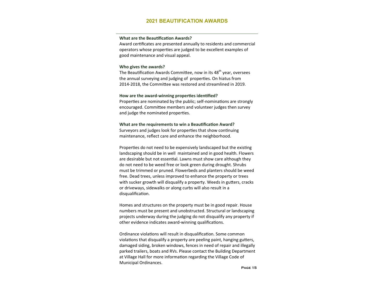#### **What are the Beautification Awards?**

Award certificates are presented annually to residents and commercial operators whose properƟes are judged to be excellent examples of good maintenance and visual appeal.

#### **Who gives the awards?**

The Beautification Awards Committee, now in its 48<sup>th</sup> year, oversees the annual surveying and judging of properties. On hiatus from 2014-2018, the Committee was restored and streamlined in 2019.

#### How are the award-winning properties identified?

Properties are nominated by the public; self-nominations are strongly encouraged. Committee members and volunteer judges then survey and judge the nominated properties.

#### **What are the requirements to win a Beautification Award?**

Surveyors and judges look for properties that show continuing maintenance, reflect care and enhance the neighborhood.

Properties do not need to be expensively landscaped but the existing landscaping should be in well maintained and in good health. Flowers are desirable but not essential. Lawns must show care although they do not need to be weed free or look green during drought. Shrubs must be trimmed or pruned. Flowerbeds and planters should be weed free. Dead trees, unless improved to enhance the property or trees with sucker growth will disqualify a property. Weeds in gutters, cracks or driveways, sidewalks or along curbs will also result in a disqualification.

Homes and structures on the property must be in good repair. House numbers must be present and unobstructed. Structural or landscaping projects underway during the judging do not disqualify any property if other evidence indicates award-winning qualifications.

Ordinance violations will result in disqualification. Some common violations that disqualify a property are peeling paint, hanging gutters, damaged siding, broken windows, fences in need of repair and illegally parked trailers, boats and RVs. Please contact the Building Department at Village Hall for more information regarding the Village Code of Municipal Ordinances.